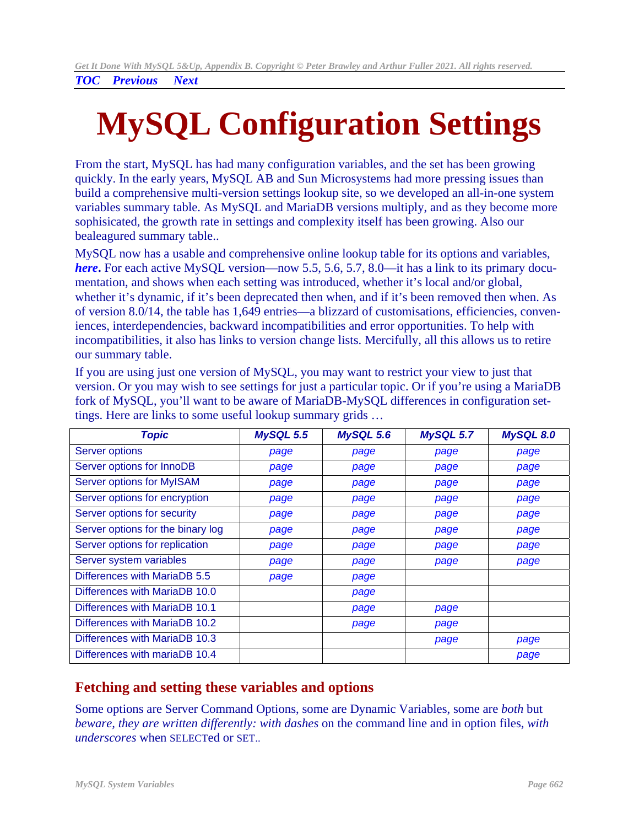# <span id="page-0-0"></span>**MySQL Configuration Settings**

From the start, MySQL has had many configuration variables, and the set has been growing quickly. In the early years, MySQL AB and Sun Microsystems had more pressing issues than build a comprehensive multi-version settings lookup site, so we developed an all-in-one system variables summary table. As MySQL and MariaDB versions multiply, and as they become more sophisicated, the growth rate in settings and complexity itself has been growing. Also our bealeagured summary table..

MySQL now has a usable and comprehensive online lookup table for its options and variables, *[here](https://dev.mysql.com/doc/mysqld-version-reference/en/optvar.html)***.** For each active MySQL version—now 5.5, 5.6, 5.7, 8.0—it has a link to its primary documentation, and shows when each setting was introduced, whether it's local and/or global, whether it's dynamic, if it's been deprecated then when, and if it's been removed then when. As of version 8.0/14, the table has 1,649 entries—a blizzard of customisations, efficiencies, conveniences, interdependencies, backward incompatibilities and error opportunities. To help with incompatibilities, it also has links to version change lists. Mercifully, all this allows us to retire our summary table.

If you are using just one version of MySQL, you may want to restrict your view to just that version. Or you may wish to see settings for just a particular topic. Or if you're using a MariaDB fork of MySQL, you'll want to be aware of MariaDB-MySQL differences in configuration settings. Here are links to some useful lookup summary grids …

| <b>Topic</b>                      | <b>MySQL 5.5</b> | <b>MySQL 5.6</b> | MySQL 5.7 | <b>MySQL 8.0</b> |
|-----------------------------------|------------------|------------------|-----------|------------------|
| <b>Server options</b>             | page             | page             | page      | page             |
| Server options for InnoDB         | page             | page             | page      | page             |
| Server options for MyISAM         | page             | page             | page      | page             |
| Server options for encryption     | page             | page             | page      | page             |
| Server options for security       | page             | page             | page      | page             |
| Server options for the binary log | page             | page             | page      | page             |
| Server options for replication    | page             | page             | page      | page             |
| Server system variables           | page             | page             | page      | page             |
| Differences with MariaDB 5.5      | page             | page             |           |                  |
| Differences with MariaDB 10.0     |                  | page             |           |                  |
| Differences with MariaDB 10.1     |                  | page             | page      |                  |
| Differences with MariaDB 10.2     |                  | page             | page      |                  |
| Differences with MariaDB 10.3     |                  |                  | page      | page             |
| Differences with mariaDB 10.4     |                  |                  |           | page             |

### **Fetching and setting these variables and options**

Some options are Server Command Options, some are Dynamic Variables, some are *both* but *beware, they are written differently: with dashes* on the command line and in option files, *with underscores* when SELECTed or SET..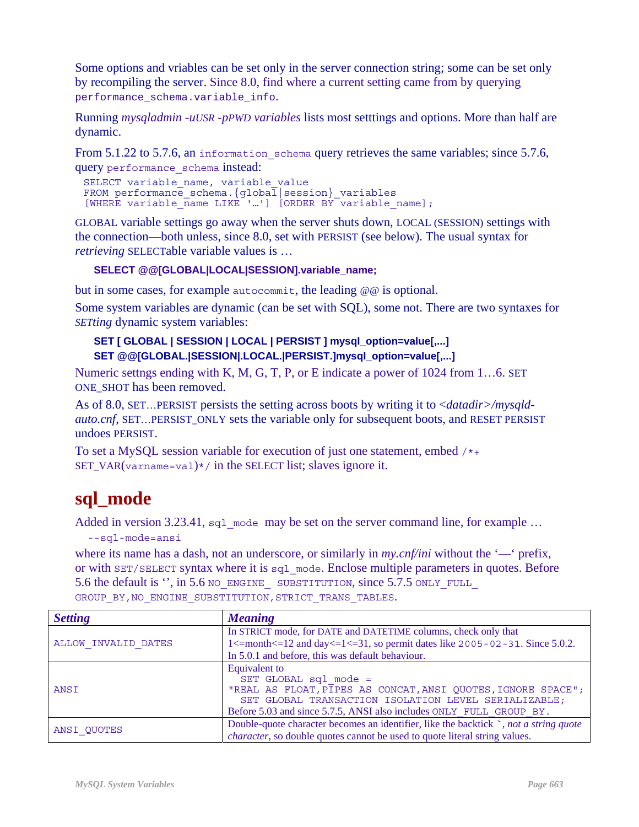Some options and vriables can be set only in the server connection string; some can be set only by recompiling the server. Since 8.0, find where a current setting came from by querying performance\_schema.variable\_info.

Running *mysqladmin -uUSR -pPWD variables* lists most setttings and options. More than half are dynamic.

From 5.1.22 to 5.7.6, an information schema query retrieves the same variables; since 5.7.6, query performance\_schema instead:

```
SELECT variable_name, variable_value 
FROM performance schema.\{global\overline{1}|session\} variables
[WHERE variable name LIKE '…'] [ORDER BY variable name];
```
GLOBAL variable settings go away when the server shuts down, LOCAL (SESSION) settings with the connection—both unless, since 8.0, set with PERSIST (see below). The usual syntax for *retrieving* SELECTable variable values is …

#### **SELECT @@[GLOBAL|LOCAL|SESSION].variable\_name;**

but in some cases, for example autocommit, the leading @@ is optional.

Some system variables are dynamic (can be set with SQL), some not. There are two syntaxes for *SETting* dynamic system variables:

#### **SET [ GLOBAL | SESSION | LOCAL | PERSIST ] mysql\_option=value[,...] SET @@[GLOBAL.|SESSION|.LOCAL.|PERSIST.]mysql\_option=value[,...]**

Numeric settngs ending with K, M, G, T, P, or E indicate a power of 1024 from 1…6. SET ONE\_SHOT has been removed.

As of 8.0, SET…PERSIST persists the setting across boots by writing it to <*datadir>/mysqldauto.cnf*, SET…PERSIST\_ONLY sets the variable only for subsequent boots, and RESET PERSIST undoes PERSIST.

To set a MySQL session variable for execution of just one statement, embed  $/*+$ SET\_VAR(varname=val) $*/$  in the SELECT list; slaves ignore it.

# **sql\_mode**

Added in version 3.23.41, sql\_mode may be set on the server command line, for example ... --sql-mode=ansi

where its name has a dash, not an underscore, or similarly in *my.cnf/ini* without the '—' prefix, or with SET/SELECT syntax where it is sql\_mode. Enclose multiple parameters in quotes. Before 5.6 the default is ", in 5.6 NO\_ENGINE\_ SUBSTITUTION, since 5.7.5 ONLY\_FULL GROUP BY, NO ENGINE SUBSTITUTION, STRICT TRANS TABLES.

| <b>Setting</b>      | <b>Meaning</b>                                                                                                                                                                                                                        |  |  |
|---------------------|---------------------------------------------------------------------------------------------------------------------------------------------------------------------------------------------------------------------------------------|--|--|
| ALLOW INVALID DATES | In STRICT mode, for DATE and DATETIME columns, check only that                                                                                                                                                                        |  |  |
|                     | $1 \le$ =month $\le$ =12 and day $\le$ =1 $\le$ =31, so permit dates like 2005-02-31. Since 5.0.2.                                                                                                                                    |  |  |
|                     | In 5.0.1 and before, this was default behaviour.                                                                                                                                                                                      |  |  |
| ANSI                | Equivalent to<br>SET GLOBAL sql mode =<br>"REAL AS FLOAT, PIPES AS CONCAT, ANSI QUOTES, IGNORE SPACE";<br>SET GLOBAL TRANSACTION ISOLATION LEVEL SERIALIZABLE;<br>Before 5.03 and since 5.7.5, ANSI also includes ONLY FULL GROUP BY. |  |  |
| ANSI QUOTES         | Double-quote character becomes an identifier, like the backtick `, not a string quote<br><i>character</i> , so double quotes cannot be used to quote literal string values.                                                           |  |  |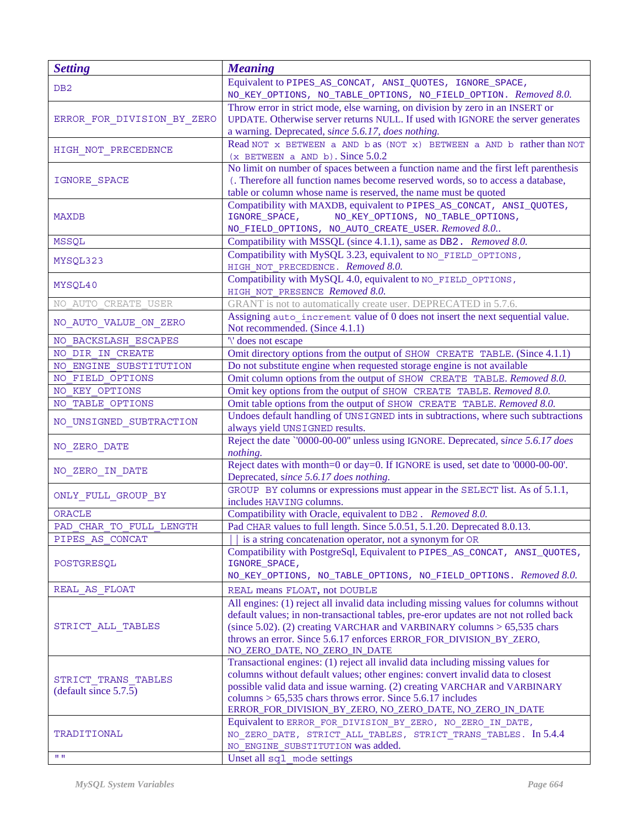| <b>Setting</b>                                             | <b>Meaning</b>                                                                                                                                                         |
|------------------------------------------------------------|------------------------------------------------------------------------------------------------------------------------------------------------------------------------|
| DB2                                                        | Equivalent to PIPES_AS_CONCAT, ANSI_QUOTES, IGNORE_SPACE,                                                                                                              |
|                                                            | NO_KEY_OPTIONS, NO_TABLE_OPTIONS, NO_FIELD_OPTION. Removed 8.0.                                                                                                        |
| ERROR FOR DIVISION BY ZERO                                 | Throw error in strict mode, else warning, on division by zero in an INSERT or                                                                                          |
|                                                            | UPDATE. Otherwise server returns NULL. If used with IGNORE the server generates                                                                                        |
|                                                            | a warning. Deprecated, since 5.6.17, does nothing.                                                                                                                     |
| HIGH_NOT_PRECEDENCE                                        | Read NOT x BETWEEN a AND b as (NOT x) BETWEEN a AND b rather than NOT                                                                                                  |
|                                                            | $(x$ BETWEEN a AND b). Since $5.0.2$                                                                                                                                   |
| IGNORE_SPACE                                               | No limit on number of spaces between a function name and the first left parenthesis<br>(. Therefore all function names become reserved words, so to access a database, |
|                                                            | table or column whose name is reserved, the name must be quoted                                                                                                        |
| <b>MAXDB</b>                                               | Compatibility with MAXDB, equivalent to PIPES_AS_CONCAT, ANSI_QUOTES,                                                                                                  |
|                                                            | NO_KEY_OPTIONS, NO_TABLE_OPTIONS,<br>IGNORE_SPACE,                                                                                                                     |
|                                                            | NO_FIELD_OPTIONS, NO_AUTO_CREATE_USER. Removed 8.0                                                                                                                     |
| <b>MSSQL</b>                                               | Compatibility with MSSQL (since 4.1.1), same as DB2. Removed 8.0.                                                                                                      |
| MYSQL323                                                   | Compatibility with MySQL 3.23, equivalent to NO_FIELD_OPTIONS,                                                                                                         |
|                                                            | HIGH NOT PRECEDENCE. Removed 8.0.                                                                                                                                      |
|                                                            | Compatibility with MySQL 4.0, equivalent to NO_FIELD_OPTIONS,                                                                                                          |
| MYSQL40                                                    | HIGH NOT PRESENCE Removed 8.0.                                                                                                                                         |
| NO AUTO CREATE USER                                        | GRANT is not to automatically create user. DEPRECATED in 5.7.6.                                                                                                        |
| NO_AUTO_VALUE_ON_ZERO                                      | Assigning auto increment value of 0 does not insert the next sequential value.                                                                                         |
|                                                            | Not recommended. (Since 4.1.1)                                                                                                                                         |
| NO BACKSLASH ESCAPES                                       | '\' does not escape                                                                                                                                                    |
| NO DIR IN CREATE                                           | Omit directory options from the output of SHOW CREATE TABLE. (Since 4.1.1)                                                                                             |
| NO ENGINE SUBSTITUTION                                     | Do not substitute engine when requested storage engine is not available                                                                                                |
| NO FIELD OPTIONS                                           | Omit column options from the output of SHOW CREATE TABLE. Removed 8.0.                                                                                                 |
| NO KEY OPTIONS<br>NO TABLE OPTIONS                         | Omit key options from the output of SHOW CREATE TABLE. Removed 8.0.<br>Omit table options from the output of SHOW CREATE TABLE. Removed 8.0.                           |
|                                                            | Undoes default handling of UNSIGNED ints in subtractions, where such subtractions                                                                                      |
| NO_UNSIGNED_SUBTRACTION                                    | always yield UNSIGNED results.                                                                                                                                         |
|                                                            | Reject the date '0000-00-00" unless using IGNORE. Deprecated, since 5.6.17 does                                                                                        |
| NO ZERO DATE                                               | nothing.                                                                                                                                                               |
|                                                            | Reject dates with month=0 or day=0. If IGNORE is used, set date to '0000-00-00'.                                                                                       |
| NO ZERO IN DATE                                            | Deprecated, since 5.6.17 does nothing.                                                                                                                                 |
| ONLY FULL GROUP BY                                         | GROUP BY columns or expressions must appear in the SELECT list. As of 5.1.1,                                                                                           |
|                                                            | includes HAVING columns.                                                                                                                                               |
| <b>ORACLE</b>                                              | Compatibility with Oracle, equivalent to DB2. Removed 8.0.                                                                                                             |
| PAD CHAR TO FULL LENGTH                                    | Pad CHAR values to full length. Since 5.0.51, 5.1.20. Deprecated 8.0.13.                                                                                               |
| PIPES AS CONCAT                                            | is a string concatenation operator, not a synonym for OR<br>Compatibility with PostgreSql, Equivalent to PIPES_AS_CONCAT, ANSI_QUOTES,                                 |
| POSTGRESQL                                                 | IGNORE_SPACE,                                                                                                                                                          |
|                                                            | NO_KEY_OPTIONS, NO_TABLE_OPTIONS, NO_FIELD_OPTIONS. Removed 8.0.                                                                                                       |
| REAL AS FLOAT                                              | REAL means FLOAT, not DOUBLE                                                                                                                                           |
|                                                            | All engines: (1) reject all invalid data including missing values for columns without                                                                                  |
| STRICT ALL TABLES                                          | default values; in non-transactional tables, pre-eror updates are not not rolled back                                                                                  |
|                                                            | (since 5.02). (2) creating VARCHAR and VARBINARY columns $> 65,535$ chars                                                                                              |
|                                                            | throws an error. Since 5.6.17 enforces ERROR_FOR_DIVISION_BY_ZERO,                                                                                                     |
|                                                            | NO_ZERO_DATE, NO_ZERO_IN_DATE                                                                                                                                          |
| STRICT TRANS TABLES<br>(default since $5.7.\overline{5}$ ) | Transactional engines: (1) reject all invalid data including missing values for                                                                                        |
|                                                            | columns without default values; other engines: convert invalid data to closest                                                                                         |
|                                                            | possible valid data and issue warning. (2) creating VARCHAR and VARBINARY                                                                                              |
|                                                            | columns $> 65,535$ chars throws error. Since 5.6.17 includes                                                                                                           |
| TRADITIONAL                                                | ERROR_FOR_DIVISION_BY_ZERO, NO_ZERO_DATE, NO_ZERO_IN_DATE<br>Equivalent to ERROR FOR DIVISION BY ZERO, NO ZERO IN DATE,                                                |
|                                                            | NO ZERO DATE, STRICT ALL TABLES, STRICT TRANS TABLES. In 5.4.4                                                                                                         |
|                                                            | NO ENGINE SUBSTITUTION was added.                                                                                                                                      |
| $H$ $H$                                                    | Unset all sql mode settings                                                                                                                                            |